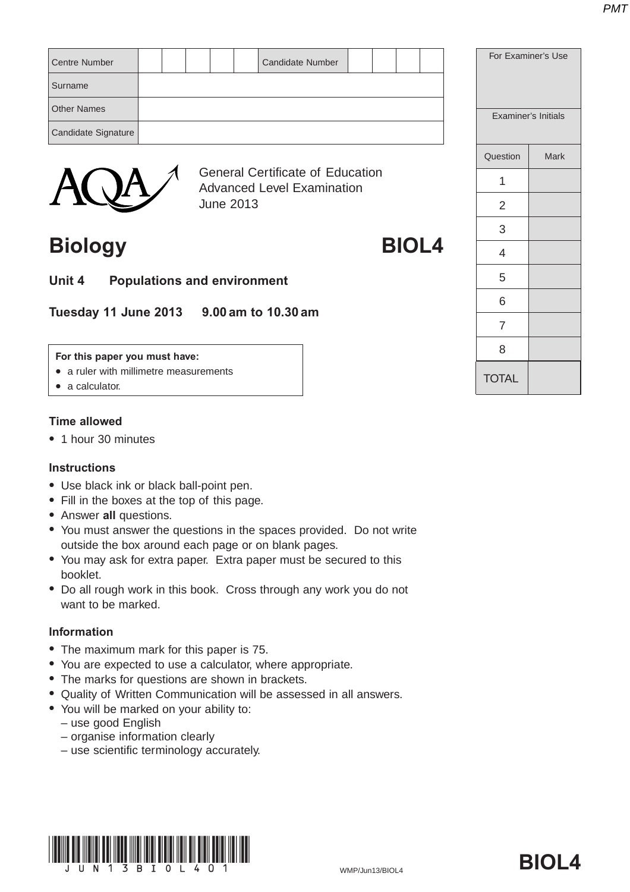| <b>Centre Number</b> |  |  | <b>Candidate Number</b>                 |  |  | For Examiner's Use |                     |
|----------------------|--|--|-----------------------------------------|--|--|--------------------|---------------------|
| Surname              |  |  |                                         |  |  |                    |                     |
| <b>Other Names</b>   |  |  |                                         |  |  |                    | Examiner's Initials |
| Candidate Signature  |  |  |                                         |  |  |                    |                     |
|                      |  |  |                                         |  |  | Question           | <b>Mark</b>         |
|                      |  |  | <b>General Certificate of Education</b> |  |  | 4                  |                     |



Advanced Level Examination June 2013

## **Biology BIOL4**

- 
- **Unit 4 Populations and environment**

**Tuesday 11 June 2013 9.00 am to 10.30 am**

#### **For this paper you must have:**

- a ruler with millimetre measurements
- $\bullet$  a calculator.

## **Time allowed**

• 1 hour 30 minutes

## **Instructions**

- Use black ink or black ball-point pen.
- Fill in the boxes at the top of this page.
- **Answer all questions.**
- You must answer the questions in the spaces provided. Do not write outside the box around each page or on blank pages.
- You may ask for extra paper. Extra paper must be secured to this booklet.
- Do all rough work in this book. Cross through any work you do not want to be marked.

## **Information**

- The maximum mark for this paper is 75.
- You are expected to use a calculator, where appropriate.
- The marks for questions are shown in brackets.
- Quality of Written Communication will be assessed in all answers.
- You will be marked on your ability to:
	- use good English
	- organise information clearly
	- use scientific terminology accurately.



| <b>Examiner's Initials</b> |             |  |  |  |  |
|----------------------------|-------------|--|--|--|--|
| Question                   | <b>Mark</b> |  |  |  |  |
| 1                          |             |  |  |  |  |
| 2                          |             |  |  |  |  |
| 3                          |             |  |  |  |  |
| 4                          |             |  |  |  |  |
| 5                          |             |  |  |  |  |
| 6                          |             |  |  |  |  |
| $\overline{7}$             |             |  |  |  |  |
| 8                          |             |  |  |  |  |
| <b>TOTAL</b>               |             |  |  |  |  |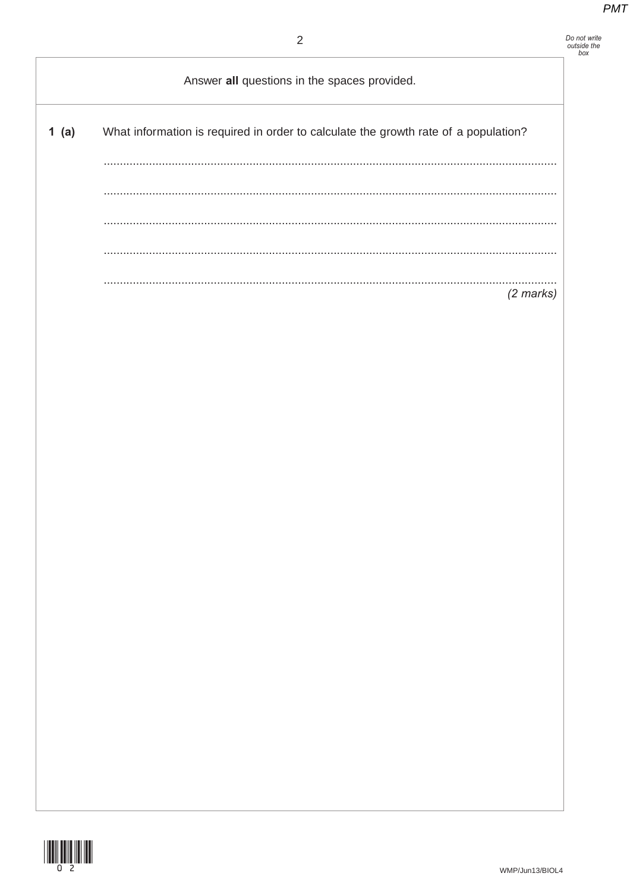## Do not write<br>outside the<br>box

Answer all questions in the spaces provided.  $1(a)$ What information is required in order to calculate the growth rate of a population?  $\sim$  $(2 \text{ marks})$ 

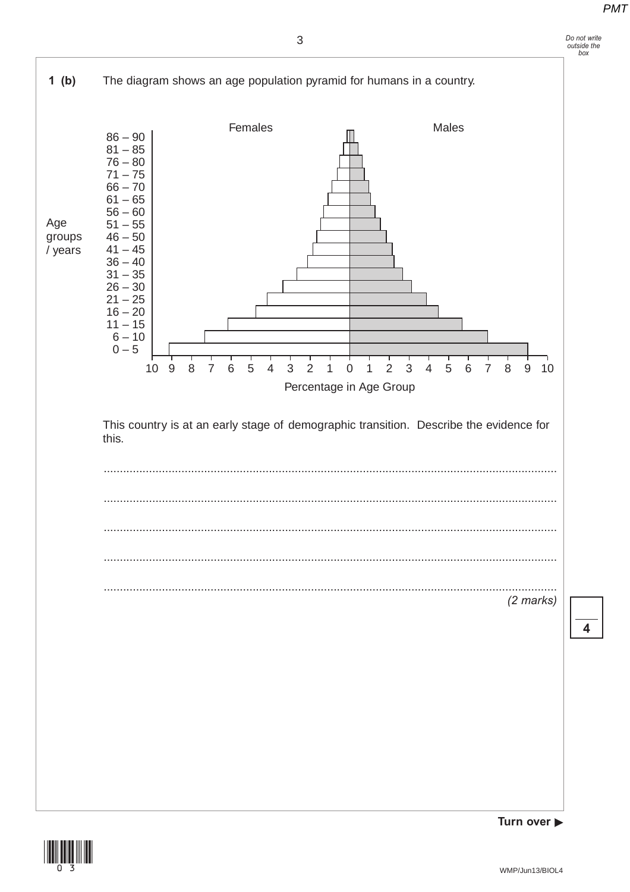





**4**

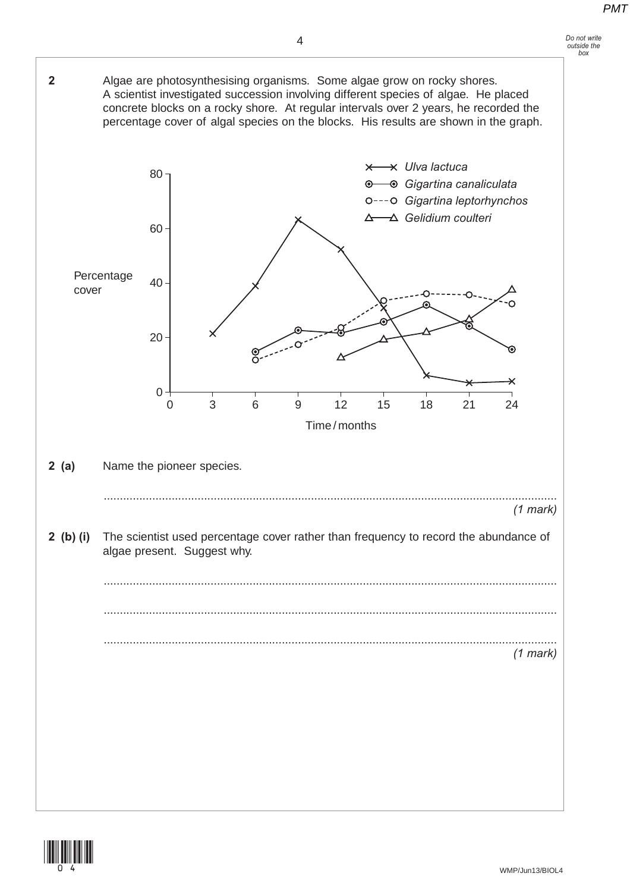#### *Do not write outside the box*



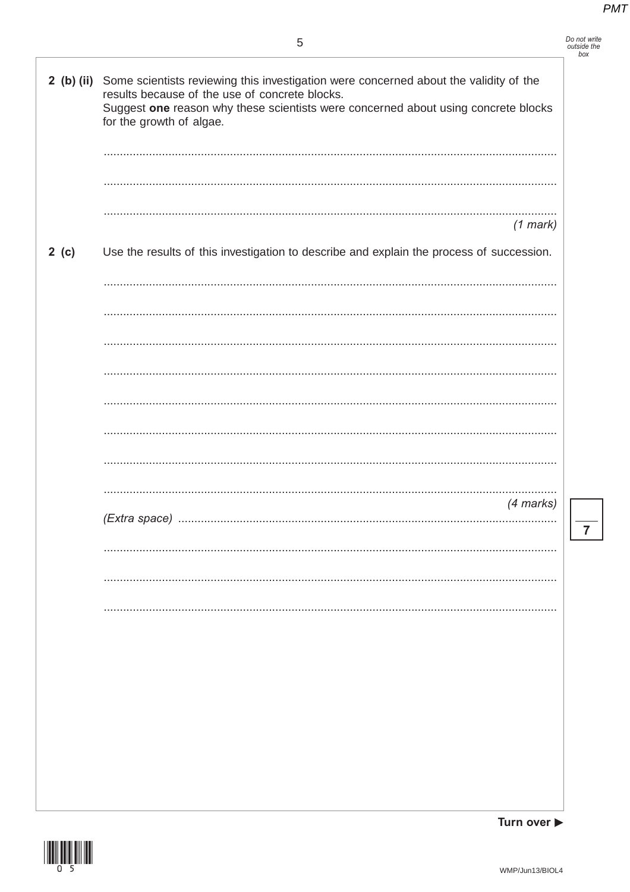| Do not write |  |
|--------------|--|
| outside the  |  |
| box          |  |

 $\overline{7}$ 

| $2$ (b) (ii) | Some scientists reviewing this investigation were concerned about the validity of the<br>results because of the use of concrete blocks.<br>Suggest one reason why these scientists were concerned about using concrete blocks<br>for the growth of algae. |
|--------------|-----------------------------------------------------------------------------------------------------------------------------------------------------------------------------------------------------------------------------------------------------------|
|              |                                                                                                                                                                                                                                                           |
|              | $(1$ mark)                                                                                                                                                                                                                                                |
| 2(c)         | Use the results of this investigation to describe and explain the process of succession.                                                                                                                                                                  |
|              |                                                                                                                                                                                                                                                           |
|              |                                                                                                                                                                                                                                                           |
|              |                                                                                                                                                                                                                                                           |
|              |                                                                                                                                                                                                                                                           |
|              |                                                                                                                                                                                                                                                           |
|              |                                                                                                                                                                                                                                                           |
|              | $(4$ marks)                                                                                                                                                                                                                                               |
|              |                                                                                                                                                                                                                                                           |
|              |                                                                                                                                                                                                                                                           |
|              |                                                                                                                                                                                                                                                           |
|              |                                                                                                                                                                                                                                                           |
|              |                                                                                                                                                                                                                                                           |
|              |                                                                                                                                                                                                                                                           |
|              |                                                                                                                                                                                                                                                           |
|              |                                                                                                                                                                                                                                                           |

Turn over  $\blacktriangleright$ 

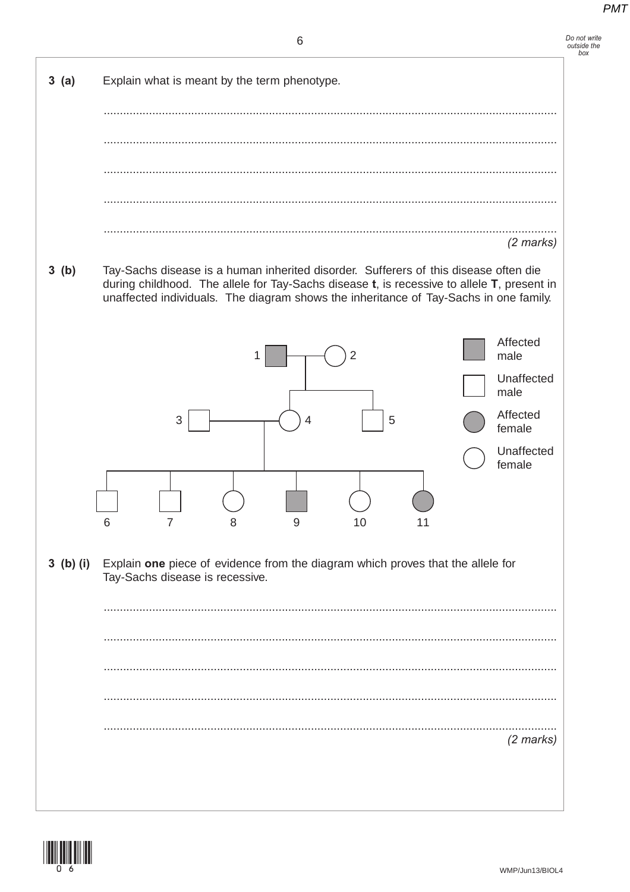Do not write<br>outside the  $h$ <sub>ora</sub>



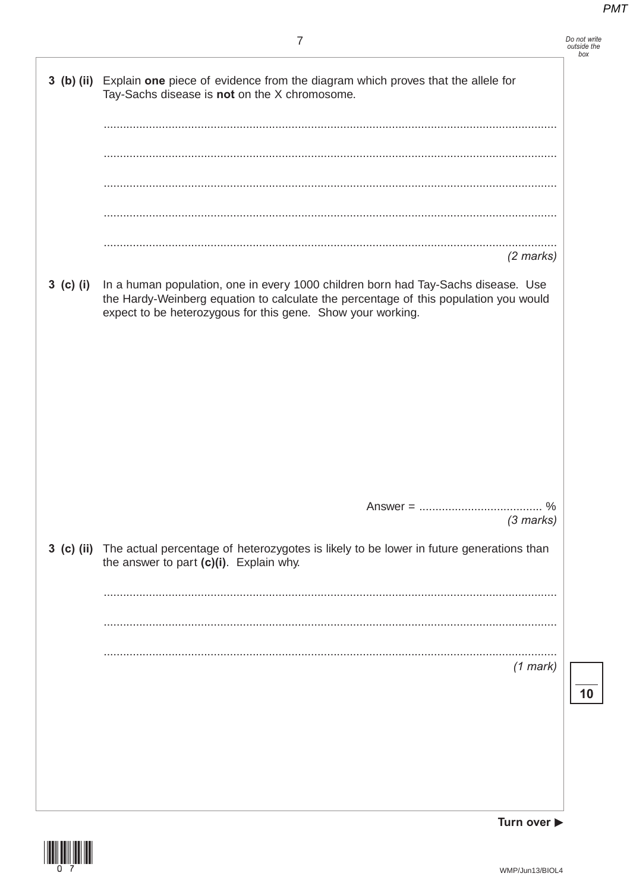Do not write<br>outside the<br>box

| 3 (b) (ii)   | Explain one piece of evidence from the diagram which proves that the allele for<br>Tay-Sachs disease is not on the $X$ chromosome.                                                                                                       |  |
|--------------|------------------------------------------------------------------------------------------------------------------------------------------------------------------------------------------------------------------------------------------|--|
|              |                                                                                                                                                                                                                                          |  |
|              |                                                                                                                                                                                                                                          |  |
|              |                                                                                                                                                                                                                                          |  |
|              | $(2$ marks)                                                                                                                                                                                                                              |  |
| $3$ (c) (i)  | In a human population, one in every 1000 children born had Tay-Sachs disease. Use<br>the Hardy-Weinberg equation to calculate the percentage of this population you would<br>expect to be heterozygous for this gene. Show your working. |  |
|              |                                                                                                                                                                                                                                          |  |
|              |                                                                                                                                                                                                                                          |  |
|              |                                                                                                                                                                                                                                          |  |
|              |                                                                                                                                                                                                                                          |  |
|              | $\%$<br>$Answer = 100$<br>$(3$ marks)                                                                                                                                                                                                    |  |
| $3$ (c) (ii) | The actual percentage of heterozygotes is likely to be lower in future generations than<br>the answer to part (c)(i). Explain why.                                                                                                       |  |
|              |                                                                                                                                                                                                                                          |  |
|              |                                                                                                                                                                                                                                          |  |
|              | $(1$ mark)                                                                                                                                                                                                                               |  |
|              |                                                                                                                                                                                                                                          |  |
|              |                                                                                                                                                                                                                                          |  |

Turn over  $\blacktriangleright$ 

 $\overline{10}$ 

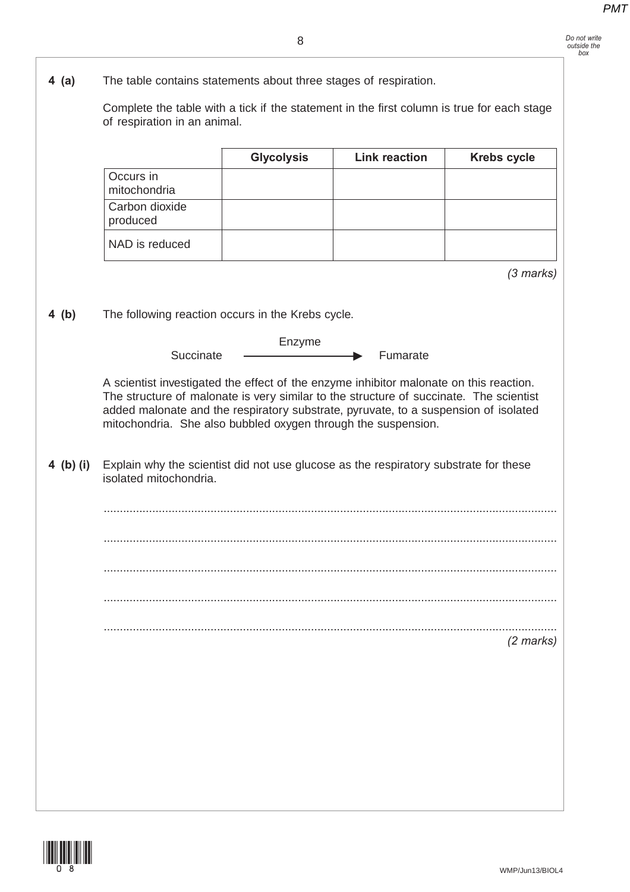Complete the table with a tick if the statement in the first column is true for each stage of respiration in an animal. *(3 marks)* **4 (b)** The following reaction occurs in the Krebs cycle. Enzyme Succinate Fumarate A scientist investigated the effect of the enzyme inhibitor malonate on this reaction. The structure of malonate is very similar to the structure of succinate. The scientist added malonate and the respiratory substrate, pyruvate, to a suspension of isolated mitochondria. She also bubbled oxygen through the suspension. **4 (b) (i)** Explain why the scientist did not use glucose as the respiratory substrate for these isolated mitochondria. ............................................................................................................................................ ............................................................................................................................................ ............................................................................................................................................ ............................................................................................................................................ ............................................................................................................................................ *(2 marks)* **Glycolysis Link reaction Krebs cycle** Occurs in mitochondria Carbon dioxide produced NAD is reduced



**4 (a)** The table contains statements about three stages of respiration.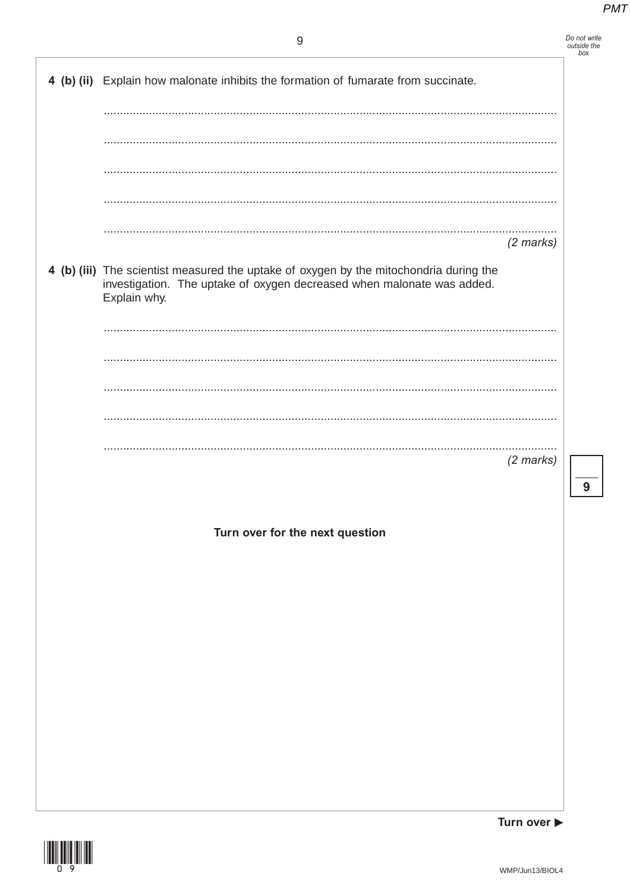Do not write<br>outside the<br>box

 $\overline{9}$ 

| 4 (b) (ii) Explain how malonate inhibits the formation of fumarate from succinate.                                                                                               |                                 |   |
|----------------------------------------------------------------------------------------------------------------------------------------------------------------------------------|---------------------------------|---|
|                                                                                                                                                                                  |                                 |   |
|                                                                                                                                                                                  |                                 |   |
|                                                                                                                                                                                  |                                 |   |
|                                                                                                                                                                                  |                                 |   |
|                                                                                                                                                                                  |                                 |   |
|                                                                                                                                                                                  |                                 |   |
|                                                                                                                                                                                  |                                 |   |
|                                                                                                                                                                                  | $(2 \text{ marks})$             |   |
|                                                                                                                                                                                  |                                 |   |
| 4 (b) (iii) The scientist measured the uptake of oxygen by the mitochondria during the<br>investigation. The uptake of oxygen decreased when malonate was added.<br>Explain why. |                                 |   |
|                                                                                                                                                                                  |                                 |   |
|                                                                                                                                                                                  |                                 |   |
|                                                                                                                                                                                  |                                 |   |
|                                                                                                                                                                                  |                                 |   |
|                                                                                                                                                                                  |                                 |   |
|                                                                                                                                                                                  | $(2$ marks)                     |   |
|                                                                                                                                                                                  |                                 |   |
|                                                                                                                                                                                  |                                 | 9 |
|                                                                                                                                                                                  |                                 |   |
| Turn over for the next question                                                                                                                                                  |                                 |   |
|                                                                                                                                                                                  |                                 |   |
|                                                                                                                                                                                  |                                 |   |
|                                                                                                                                                                                  |                                 |   |
|                                                                                                                                                                                  |                                 |   |
|                                                                                                                                                                                  |                                 |   |
|                                                                                                                                                                                  |                                 |   |
|                                                                                                                                                                                  |                                 |   |
|                                                                                                                                                                                  |                                 |   |
|                                                                                                                                                                                  |                                 |   |
|                                                                                                                                                                                  |                                 |   |
|                                                                                                                                                                                  |                                 |   |
|                                                                                                                                                                                  |                                 |   |
|                                                                                                                                                                                  |                                 |   |
|                                                                                                                                                                                  |                                 |   |
|                                                                                                                                                                                  | Turn over $\blacktriangleright$ |   |



WMP/Jun13/BIOL4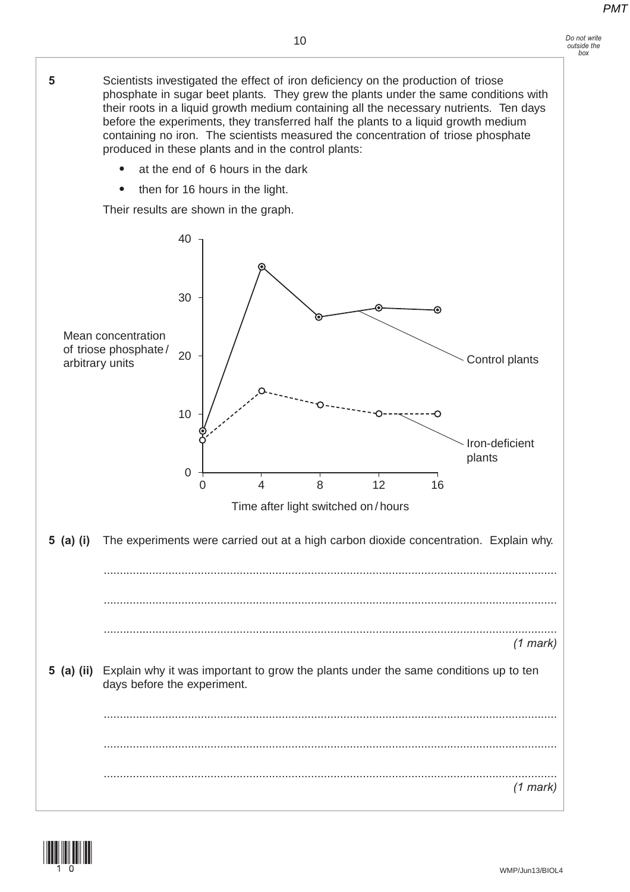*Do not write outside the box*

**5** Scientists investigated the effect of iron deficiency on the production of triose phosphate in sugar beet plants. They grew the plants under the same conditions with their roots in a liquid growth medium containing all the necessary nutrients. Ten days before the experiments, they transferred half the plants to a liquid growth medium containing no iron. The scientists measured the concentration of triose phosphate produced in these plants and in the control plants: at the end of 6 hours in the dark  $\bullet$  then for 16 hours in the light. Their results are shown in the graph. 40 30 ᢛ Mean concentration of triose phosphate / 20 Control plants arbitrary units 10 O Iron-deficient plants  $\overline{0}$ 0 8 12 4 8 12 16 Time after light switched on / hours **5 (a) (i)** The experiments were carried out at a high carbon dioxide concentration. Explain why. ............................................................................................................................................ ............................................................................................................................................ ............................................................................................................................................ *(1 mark)* **5 (a) (ii)** Explain why it was important to grow the plants under the same conditions up to ten days before the experiment. ............................................................................................................................................ ............................................................................................................................................ ............................................................................................................................................ *(1 mark)*

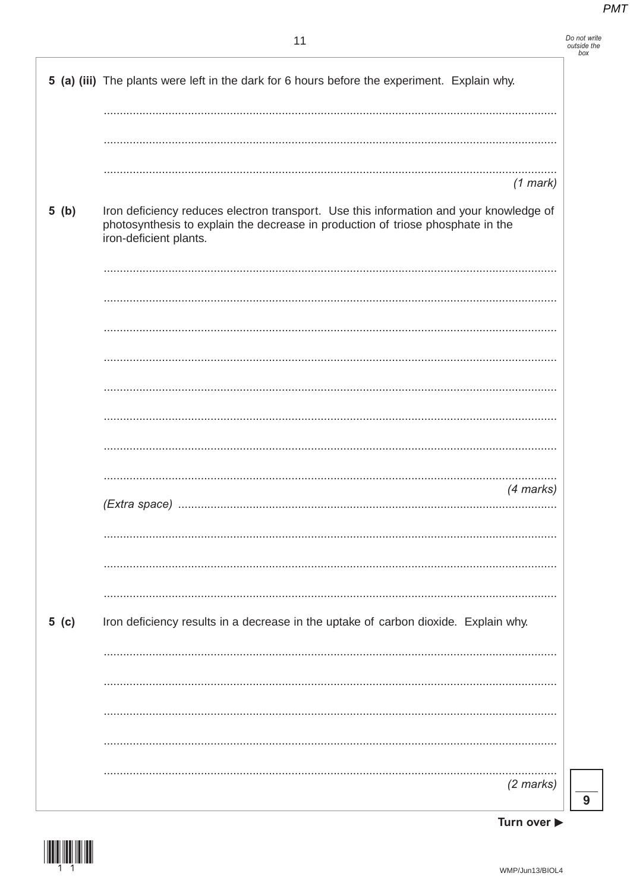| Do not write |  |
|--------------|--|
| outside the  |  |
| hox          |  |

|        | 5 (a) (iii) The plants were left in the dark for 6 hours before the experiment. Explain why.                                                                                                        |
|--------|-----------------------------------------------------------------------------------------------------------------------------------------------------------------------------------------------------|
|        |                                                                                                                                                                                                     |
|        | $(1$ mark)                                                                                                                                                                                          |
| 5(b)   | Iron deficiency reduces electron transport. Use this information and your knowledge of<br>photosynthesis to explain the decrease in production of triose phosphate in the<br>iron-deficient plants. |
|        |                                                                                                                                                                                                     |
|        |                                                                                                                                                                                                     |
|        |                                                                                                                                                                                                     |
|        |                                                                                                                                                                                                     |
|        |                                                                                                                                                                                                     |
|        |                                                                                                                                                                                                     |
|        | (4 marks)                                                                                                                                                                                           |
|        |                                                                                                                                                                                                     |
|        |                                                                                                                                                                                                     |
|        |                                                                                                                                                                                                     |
|        |                                                                                                                                                                                                     |
| 5( c ) | Iron deficiency results in a decrease in the uptake of carbon dioxide. Explain why.                                                                                                                 |
|        |                                                                                                                                                                                                     |
|        |                                                                                                                                                                                                     |
|        |                                                                                                                                                                                                     |
|        |                                                                                                                                                                                                     |
|        | $(2 \text{ marks})$                                                                                                                                                                                 |

Turn over  $\blacktriangleright$ 

 $\overline{9}$ 

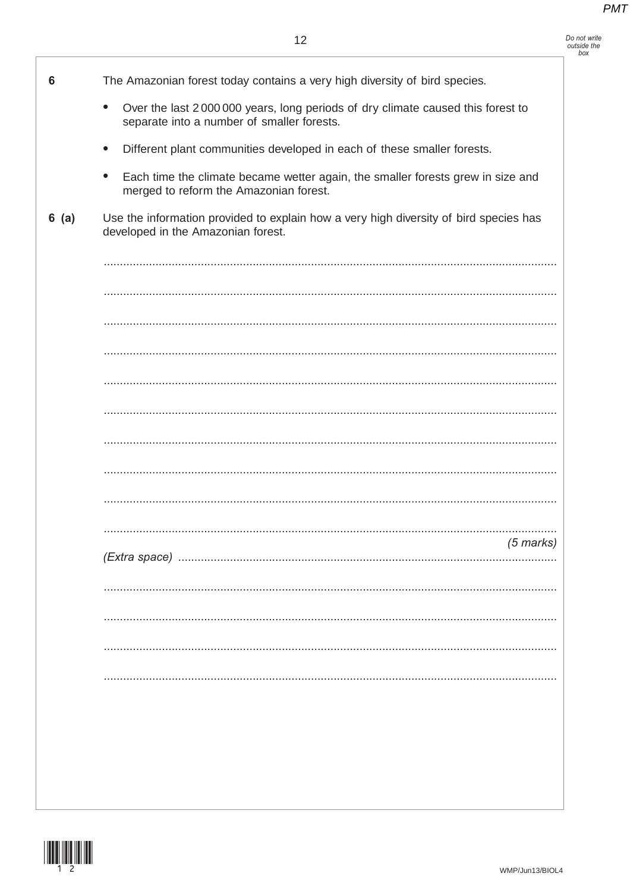| Do not write |
|--------------|
| outside the  |
| hoy          |

| 6    | The Amazonian forest today contains a very high diversity of bird species.                                                                 |
|------|--------------------------------------------------------------------------------------------------------------------------------------------|
|      | Over the last 2000 000 years, long periods of dry climate caused this forest to<br>$\bullet$<br>separate into a number of smaller forests. |
|      | Different plant communities developed in each of these smaller forests.<br>$\bullet$                                                       |
|      | Each time the climate became wetter again, the smaller forests grew in size and<br>$\bullet$<br>merged to reform the Amazonian forest.     |
| 6(a) | Use the information provided to explain how a very high diversity of bird species has<br>developed in the Amazonian forest.                |
|      |                                                                                                                                            |
|      |                                                                                                                                            |
|      |                                                                                                                                            |
|      |                                                                                                                                            |
|      |                                                                                                                                            |
|      |                                                                                                                                            |
|      |                                                                                                                                            |
|      |                                                                                                                                            |
|      |                                                                                                                                            |
|      | $(5$ marks)                                                                                                                                |
|      |                                                                                                                                            |
|      |                                                                                                                                            |
|      |                                                                                                                                            |
|      |                                                                                                                                            |
|      |                                                                                                                                            |
|      |                                                                                                                                            |
|      |                                                                                                                                            |
|      |                                                                                                                                            |
|      |                                                                                                                                            |

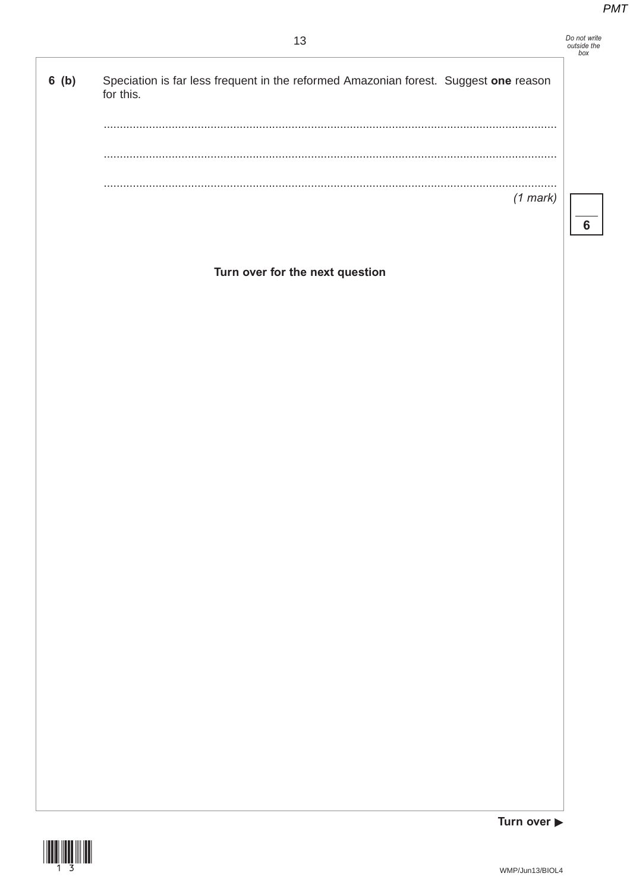| Do not write |  |
|--------------|--|
| outside the  |  |
| box          |  |
|              |  |

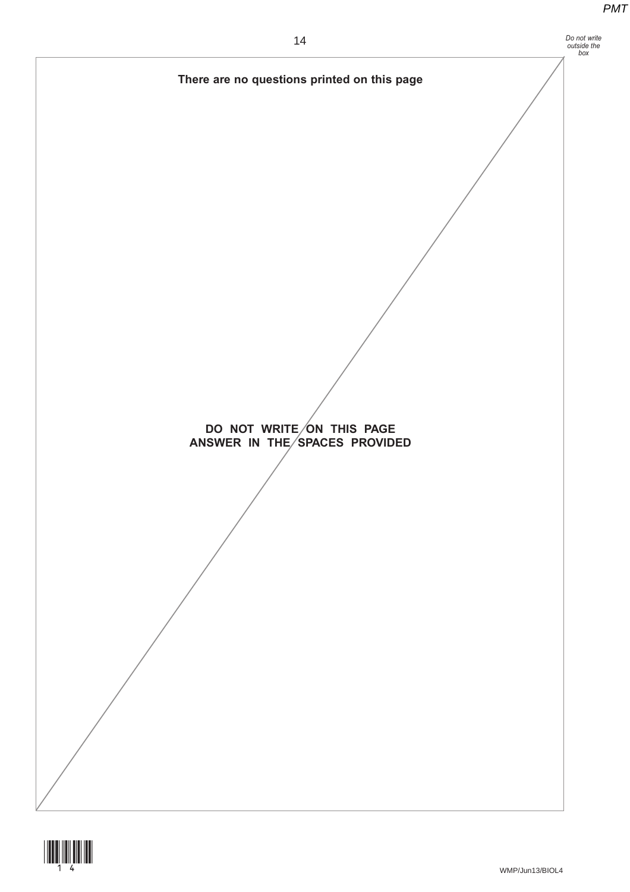

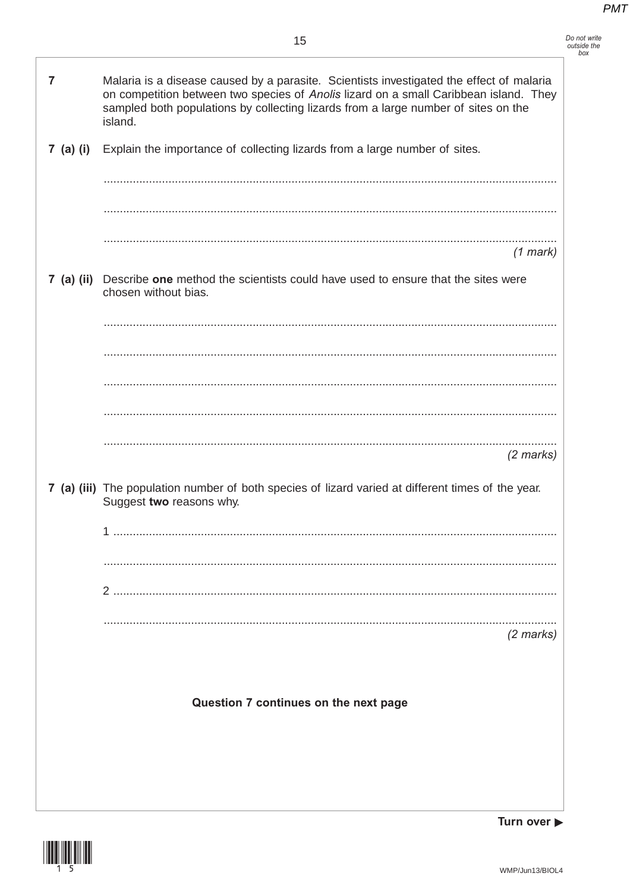| Do not write |  |
|--------------|--|
| outside the  |  |
| hoy          |  |

| 7                                     | Malaria is a disease caused by a parasite. Scientists investigated the effect of malaria<br>on competition between two species of Anolis lizard on a small Caribbean island. They<br>sampled both populations by collecting lizards from a large number of sites on the<br>island. |
|---------------------------------------|------------------------------------------------------------------------------------------------------------------------------------------------------------------------------------------------------------------------------------------------------------------------------------|
| 7 (a) (i)                             | Explain the importance of collecting lizards from a large number of sites.                                                                                                                                                                                                         |
|                                       |                                                                                                                                                                                                                                                                                    |
|                                       | $(1$ mark)                                                                                                                                                                                                                                                                         |
|                                       | 7 (a) (ii) Describe one method the scientists could have used to ensure that the sites were<br>chosen without bias.                                                                                                                                                                |
|                                       |                                                                                                                                                                                                                                                                                    |
|                                       |                                                                                                                                                                                                                                                                                    |
|                                       |                                                                                                                                                                                                                                                                                    |
|                                       | $(2 \text{ marks})$<br>7 (a) (iii) The population number of both species of lizard varied at different times of the year.<br>Suggest two reasons why.                                                                                                                              |
|                                       |                                                                                                                                                                                                                                                                                    |
|                                       |                                                                                                                                                                                                                                                                                    |
|                                       | $(2$ marks)                                                                                                                                                                                                                                                                        |
| Question 7 continues on the next page |                                                                                                                                                                                                                                                                                    |
|                                       |                                                                                                                                                                                                                                                                                    |

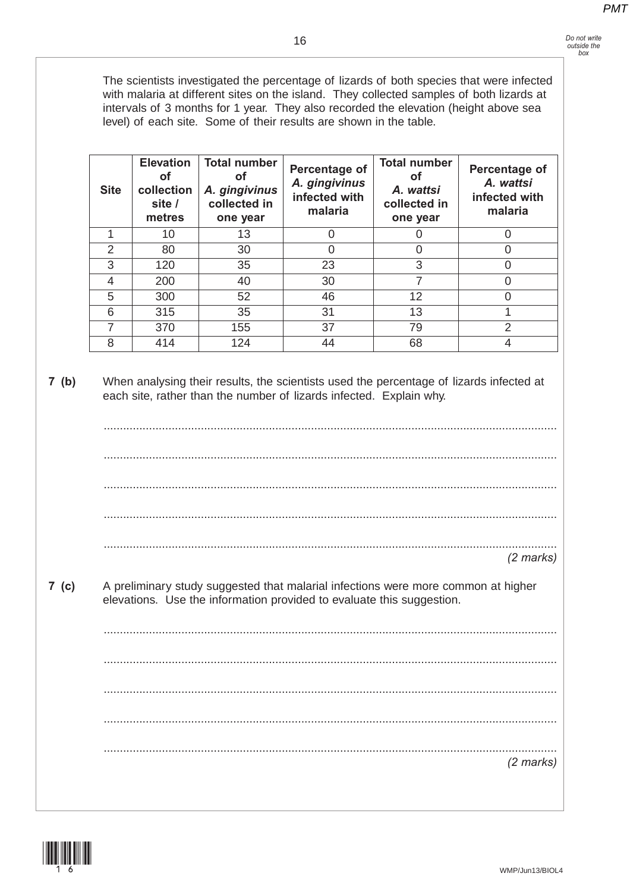The scientists investigated the percentage of lizards of both species that were infected with malaria at different sites on the island. They collected samples of both lizards at intervals of 3 months for 1 year. They also recorded the elevation (height above sea level) of each site. Some of their results are shown in the table.

| <b>Site</b>   | <b>Elevation</b><br><b>of</b><br>collection<br>site /<br>metres | <b>Total number</b><br>οf<br>A. gingivinus<br>collected in<br>one year | Percentage of<br>A. gingivinus<br>infected with<br>malaria | <b>Total number</b><br>оf<br>A. wattsi<br>collected in<br>one year | Percentage of<br>A. wattsi<br>infected with<br>malaria |
|---------------|-----------------------------------------------------------------|------------------------------------------------------------------------|------------------------------------------------------------|--------------------------------------------------------------------|--------------------------------------------------------|
|               | 10                                                              | 13                                                                     | U                                                          |                                                                    |                                                        |
| $\mathcal{P}$ | 80                                                              | 30                                                                     | 0                                                          | Ω                                                                  | O                                                      |
| 3             | 120                                                             | 35                                                                     | 23                                                         | 3                                                                  |                                                        |
| 4             | 200                                                             | 40                                                                     | 30                                                         | 7                                                                  |                                                        |
| 5             | 300                                                             | 52                                                                     | 46                                                         | $12 \overline{ }$                                                  |                                                        |
| 6             | 315                                                             | 35                                                                     | 31                                                         | 13                                                                 |                                                        |
| 7             | 370                                                             | 155                                                                    | 37                                                         | 79                                                                 | $\overline{2}$                                         |
| 8             | 414                                                             | 124                                                                    | 44                                                         | 68                                                                 |                                                        |

**7 (b)** When analysing their results, the scientists used the percentage of lizards infected at each site, rather than the number of lizards infected. Explain why.

............................................................................................................................................ ............................................................................................................................................ ............................................................................................................................................ *(2 marks)*

**7 (c)** A preliminary study suggested that malarial infections were more common at higher elevations. Use the information provided to evaluate this suggestion.

............................................................................................................................................ ............................................................................................................................................ ............................................................................................................................................ ............................................................................................................................................ ............................................................................................................................................ *(2 marks)*

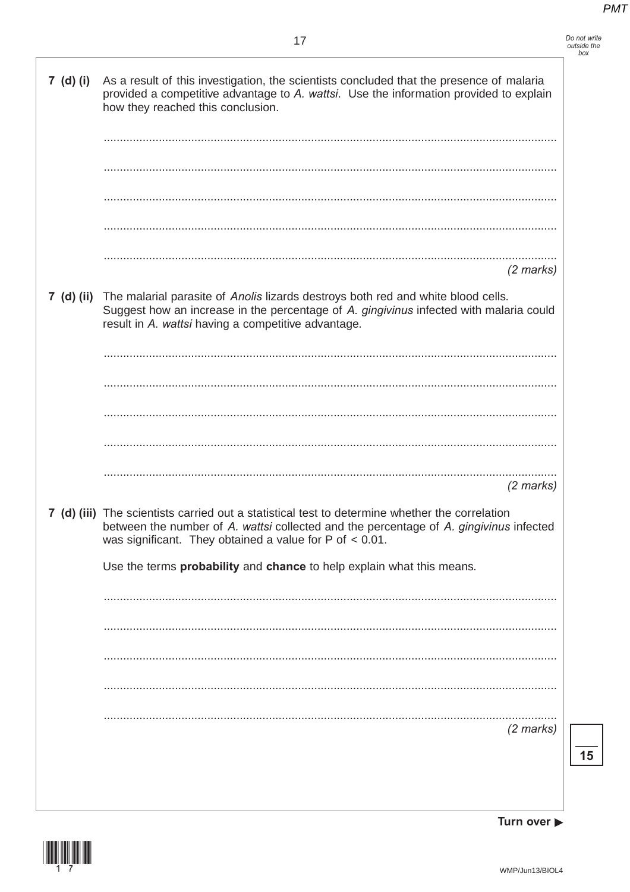| Do not write |
|--------------|
| outside the  |
| box          |

| 7 (d) (i)  | As a result of this investigation, the scientists concluded that the presence of malaria<br>provided a competitive advantage to A. wattsi. Use the information provided to explain<br>how they reached this conclusion.                                  |
|------------|----------------------------------------------------------------------------------------------------------------------------------------------------------------------------------------------------------------------------------------------------------|
|            |                                                                                                                                                                                                                                                          |
|            |                                                                                                                                                                                                                                                          |
| 7 (d) (ii) | $(2$ marks)<br>The malarial parasite of Anolis lizards destroys both red and white blood cells.<br>Suggest how an increase in the percentage of A. gingivinus infected with malaria could                                                                |
|            | result in A. wattsi having a competitive advantage.                                                                                                                                                                                                      |
|            |                                                                                                                                                                                                                                                          |
|            |                                                                                                                                                                                                                                                          |
|            | $(2$ marks)                                                                                                                                                                                                                                              |
|            | 7 (d) (iii) The scientists carried out a statistical test to determine whether the correlation<br>between the number of A. wattsi collected and the percentage of A. gingivinus infected<br>was significant. They obtained a value for $P$ of $< 0.01$ . |
|            | Use the terms probability and chance to help explain what this means.                                                                                                                                                                                    |
|            |                                                                                                                                                                                                                                                          |
|            |                                                                                                                                                                                                                                                          |
|            |                                                                                                                                                                                                                                                          |
|            |                                                                                                                                                                                                                                                          |
|            | $(2 \text{ marks})$                                                                                                                                                                                                                                      |
|            |                                                                                                                                                                                                                                                          |
|            |                                                                                                                                                                                                                                                          |



Turn over  $\blacktriangleright$ 

 $\overline{\mathbf{15}}$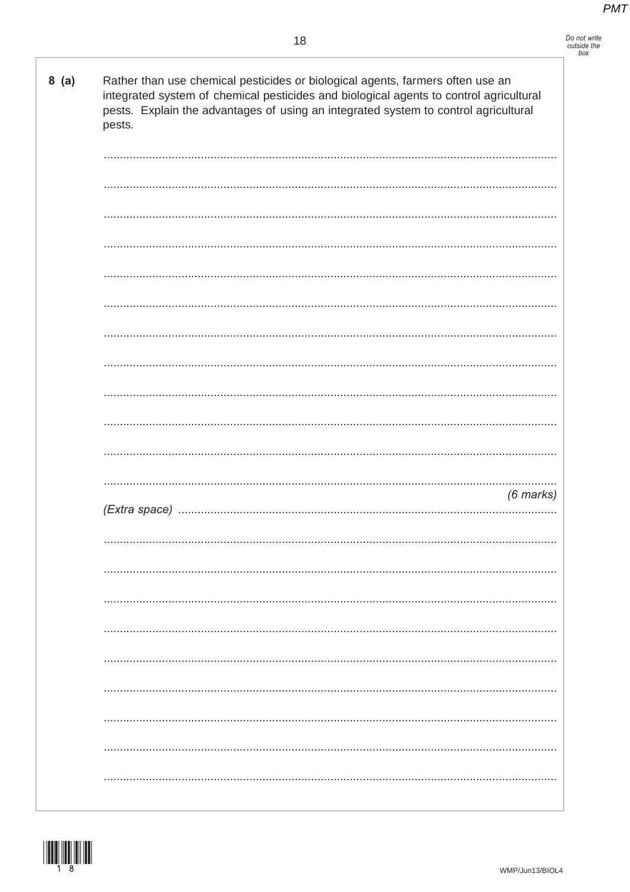$8(a)$ Rather than use chemical pesticides or biological agents, farmers often use an integrated system of chemical pesticides and biological agents to control agricultural pests. Explain the advantages of using an integrated system to control agricultural pests.

| .         |  |
|-----------|--|
| (6 marks) |  |
|           |  |
|           |  |
|           |  |
|           |  |
|           |  |
|           |  |
|           |  |
|           |  |

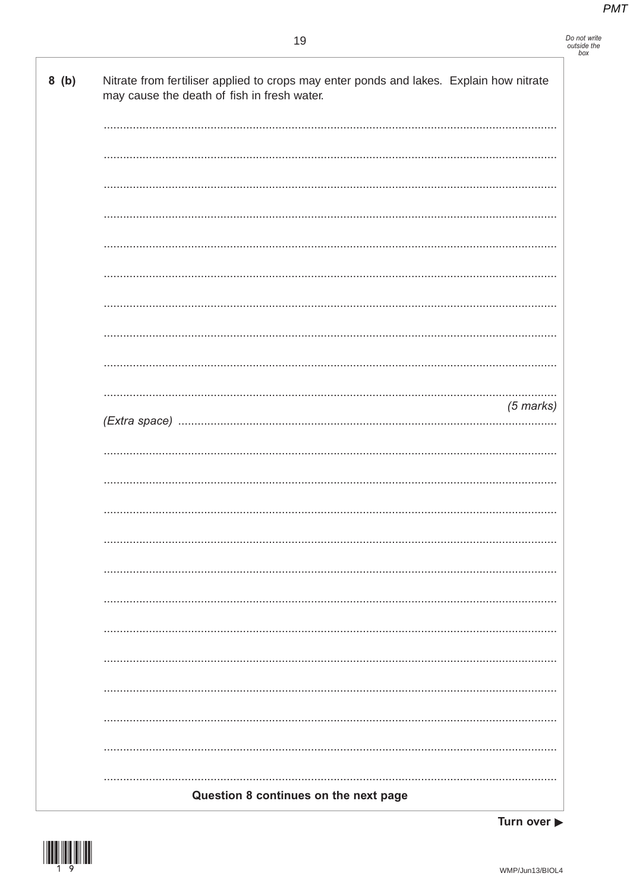## Do not write<br>outside the<br>box

| 8(b) | Nitrate from fertiliser applied to crops may enter ponds and lakes. Explain how nitrate<br>may cause the death of fish in fresh water. |
|------|----------------------------------------------------------------------------------------------------------------------------------------|
|      |                                                                                                                                        |
|      |                                                                                                                                        |
|      |                                                                                                                                        |
|      |                                                                                                                                        |
|      |                                                                                                                                        |
|      |                                                                                                                                        |
|      |                                                                                                                                        |
|      |                                                                                                                                        |
|      |                                                                                                                                        |
|      | $(5$ marks)                                                                                                                            |
|      |                                                                                                                                        |
|      |                                                                                                                                        |
|      |                                                                                                                                        |
|      |                                                                                                                                        |
|      |                                                                                                                                        |
|      |                                                                                                                                        |
|      |                                                                                                                                        |
|      |                                                                                                                                        |
|      |                                                                                                                                        |
|      |                                                                                                                                        |
|      |                                                                                                                                        |
|      |                                                                                                                                        |
|      | Question 8 continues on the next page                                                                                                  |
|      |                                                                                                                                        |

Turn over  $\blacktriangleright$